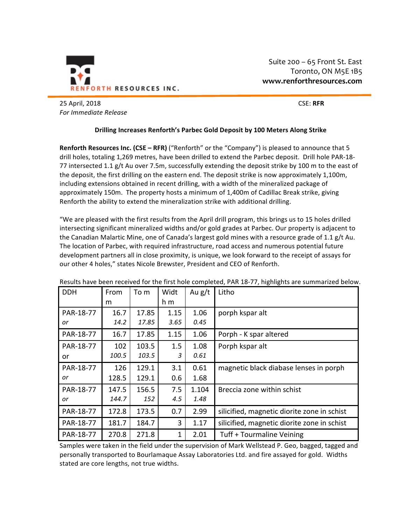

Suite  $200 - 65$  Front St. East Toronto, ON M5E 1B5 **www.renforthresources.com**

25 April, 2018 CSE: **RFR** *For Immediate Release*

## **Drilling Increases Renforth's Parbec Gold Deposit by 100 Meters Along Strike**

**Renforth Resources Inc. (CSE – RFR) ("Renforth" or the "Company") is pleased to announce that 5** drill holes, totaling 1,269 metres, have been drilled to extend the Parbec deposit. Drill hole PAR-18-77 intersected 1.1 g/t Au over 7.5m, successfully extending the deposit strike by 100 m to the east of the deposit, the first drilling on the eastern end. The deposit strike is now approximately 1,100m, including extensions obtained in recent drilling, with a width of the mineralized package of approximately 150m. The property hosts a minimum of 1,400m of Cadillac Break strike, giving Renforth the ability to extend the mineralization strike with additional drilling.

"We are pleased with the first results from the April drill program, this brings us to 15 holes drilled intersecting significant mineralized widths and/or gold grades at Parbec. Our property is adjacent to the Canadian Malartic Mine, one of Canada's largest gold mines with a resource grade of 1.1  $g/t$  Au. The location of Parbec, with required infrastructure, road access and numerous potential future development partners all in close proximity, is unique, we look forward to the receipt of assays for our other 4 holes," states Nicole Brewster, President and CEO of Renforth.

| <b>DDH</b> | From  | To m  | Widt         | Au $g/t$ | Litho                                       |
|------------|-------|-------|--------------|----------|---------------------------------------------|
|            | m     |       | h m          |          |                                             |
| PAR-18-77  | 16.7  | 17.85 | 1.15         | 1.06     | porph kspar alt                             |
| or         | 14.2  | 17.85 | 3.65         | 0.45     |                                             |
| PAR-18-77  | 16.7  | 17.85 | 1.15         | 1.06     | Porph - K spar altered                      |
| PAR-18-77  | 102   | 103.5 | 1.5          | 1.08     | Porph kspar alt                             |
| or         | 100.5 | 103.5 | 3            | 0.61     |                                             |
| PAR-18-77  | 126   | 129.1 | 3.1          | 0.61     | magnetic black diabase lenses in porph      |
| or         | 128.5 | 129.1 | 0.6          | 1.68     |                                             |
| PAR-18-77  | 147.5 | 156.5 | 7.5          | 1.104    | Breccia zone within schist                  |
| or         | 144.7 | 152   | 4.5          | 1.48     |                                             |
| PAR-18-77  | 172.8 | 173.5 | 0.7          | 2.99     | silicified, magnetic diorite zone in schist |
| PAR-18-77  | 181.7 | 184.7 | 3            | 1.17     | silicified, magnetic diorite zone in schist |
| PAR-18-77  | 270.8 | 271.8 | $\mathbf{1}$ | 2.01     | Tuff + Tourmaline Veining                   |

Results have been received for the first hole completed, PAR 18-77, highlights are summarized below.

Samples were taken in the field under the supervision of Mark Wellstead P. Geo, bagged, tagged and personally transported to Bourlamaque Assay Laboratories Ltd. and fire assayed for gold. Widths stated are core lengths, not true widths.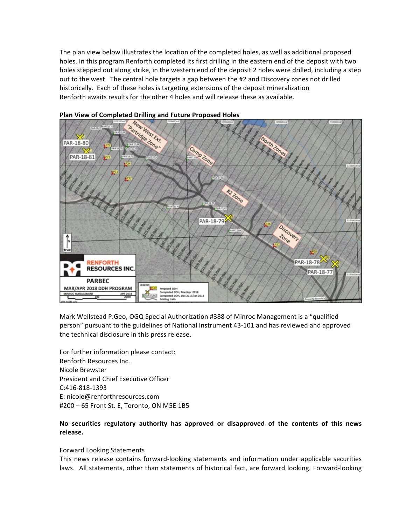The plan view below illustrates the location of the completed holes, as well as additional proposed holes. In this program Renforth completed its first drilling in the eastern end of the deposit with two holes stepped out along strike, in the western end of the deposit 2 holes were drilled, including a step out to the west. The central hole targets a gap between the #2 and Discovery zones not drilled historically. Each of these holes is targeting extensions of the deposit mineralization Renforth awaits results for the other 4 holes and will release these as available.



Mark Wellstead P.Geo, OGQ Special Authorization #388 of Minroc Management is a "qualified person" pursuant to the guidelines of National Instrument 43-101 and has reviewed and approved the technical disclosure in this press release.

For further information please contact: Renforth Resources Inc. Nicole Brewster President and Chief Executive Officer C:416-818-1393 E: nicole@renforthresources.com #200 - 65 Front St. E, Toronto, ON M5E 1B5

## No securities regulatory authority has approved or disapproved of the contents of this news **release.**

## Forward Looking Statements

This news release contains forward-looking statements and information under applicable securities laws. All statements, other than statements of historical fact, are forward looking. Forward-looking